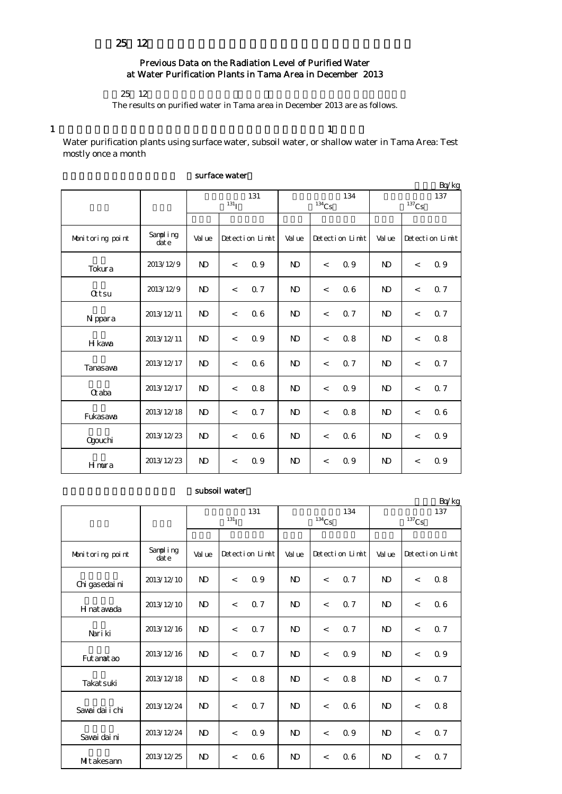## Previous Data on the Radiation Level of Purified Water at Water Purification Plants in Tama Area in December 2013

25 12

The results on purified water in Tama area in December 2013 are as follows.

1  $\frac{1}{1}$ 

Water purification plants using surface water, subsoil water, or shallow water in Tama Area: Test mostly once a month

| Bq/kg            |                   |                   |                          |     |              |                          |     |                            |                 |     |
|------------------|-------------------|-------------------|--------------------------|-----|--------------|--------------------------|-----|----------------------------|-----------------|-----|
|                  |                   | 131<br>$^{131}$ I |                          |     |              | $^{134}\mathrm{Cs}$      | 134 | 137<br>$^{137}\mathrm{Cs}$ |                 |     |
|                  |                   |                   |                          |     |              |                          |     |                            |                 |     |
| Monitoring point | Sampling<br>dat e | Val ue            | Detection Limit          |     | Val ue       | Detection Limit          |     | Val ue                     | Detection Limit |     |
| Tokura           | 2013/12/9         | $\mathbf{D}$      | $\,<\,$                  | 0.9 | $\mathbf{D}$ | $\,<$                    | 0.9 | N <sub>D</sub>             | $\,<$           | 0.9 |
| <b>Qtsu</b>      | 2013/12/9         | $\mathbf{D}$      | $\,<\,$                  | 0.7 | $\mathbf{D}$ | $\,<$                    | 06  | N <sub>D</sub>             | $\,<$           | 0.7 |
| N ppara          | 2013/12/11        | $\mathbf{D}$      | $\overline{\phantom{a}}$ | 0.6 | $\mathbf{D}$ | $\overline{a}$           | 0.7 | N <sub>D</sub>             | $\lt$           | 0.7 |
| H kawa           | 2013/12/11        | N <sub>D</sub>    | $\overline{\phantom{a}}$ | 0.9 | $\mathbf{D}$ | $\,<$                    | 0.8 | N <sub>D</sub>             | $\,<$           | 0.8 |
| Tanasawa         | 2013/12/17        | $\mathbf{N}$      | $\overline{\phantom{a}}$ | 06  | $\mathbf{D}$ | $\overline{a}$           | 0.7 | N <sub>D</sub>             | $\overline{a}$  | 0.7 |
| <b>G</b> aba     | 2013/12/17        | $\mathbf{D}$      | $\overline{\phantom{a}}$ | 0.8 | $\mathbf{D}$ | $\overline{a}$           | 0.9 | N <sub>D</sub>             | $\lt$           | 0.7 |
| Fukasawa         | 2013/12/18        | $\mathbf{D}$      | $\lt$                    | 0.7 | $\mathbf{D}$ | $\overline{\phantom{a}}$ | 0.8 | N <sub>D</sub>             | $\lt$           | 06  |
| Ogouchi          | 2013/12/23        | $\mathbf{D}$      | $\lt$                    | 06  | $\mathbf{D}$ | $\overline{\phantom{a}}$ | 06  | N <sub>D</sub>             | $\lt$           | 0.9 |
| Hmura            | 2013/12/23        | $\mathbf{N}$      | $\,<\,$                  | 0.9 | $\mathbf{D}$ | $\,<$                    | 0.9 | N <sub>D</sub>             | $\,<$           | 0.9 |

### surface water

## subsoil water

|                  |                  |                   |                 |     |                |                          |     |                            |                 | Bq/kg |  |
|------------------|------------------|-------------------|-----------------|-----|----------------|--------------------------|-----|----------------------------|-----------------|-------|--|
|                  |                  | 131<br>$^{131}$ I |                 |     |                | $134$ Cs                 | 134 | 137<br>$^{137}\mathrm{Cs}$ |                 |       |  |
|                  |                  |                   |                 |     |                |                          |     |                            |                 |       |  |
| Monitoring point | Sampling<br>date | Val ue            | Detection Limit |     | Val ue         | Detection Limit          |     | Val ue                     | Detection Limit |       |  |
| Chi gasedai ni   | 2013/12/10       | N <sub>D</sub>    | $\lt$           | 0.9 | <sub>N</sub>   | $\overline{\phantom{a}}$ | 0.7 | N <sub>D</sub>             | $\lt$           | 0.8   |  |
| H nat awada      | 2013/12/10       | N <sub>D</sub>    | $\lt$           | 0.7 | <sub>N</sub>   | $\prec$                  | 0.7 | N <sub>D</sub>             | $\lt$           | 0.6   |  |
| Nari ki          | 2013/12/16       | N <sub>D</sub>    | $\lt$           | 0.7 | <sub>N</sub>   | $\lt$                    | 0.7 | N <sub>D</sub>             | $\lt$           | 0.7   |  |
| Fut anat ao      | 2013/12/16       | N <sub>D</sub>    | $\,<$           | 0.7 | $\mathbf{D}$   | $\prec$                  | 0.9 | N <sub>D</sub>             | $\lt$           | 0.9   |  |
| Takat suki       | 2013/12/18       | N <sub>D</sub>    | $\,<$           | 0.8 | N <sub>D</sub> | $\prec$                  | 0.8 | N <sub>D</sub>             | $\,<\,$         | 0.7   |  |
| Savai dai i chi  | 2013/12/24       | N <sub>D</sub>    | $\lt$           | 0.7 | <sub>N</sub>   | $\,<\,$                  | 06  | N <sub>D</sub>             | $\lt$           | 0.8   |  |
| Savai dai ni     | 2013/12/24       | N <sub>D</sub>    | $\lt$           | 0.9 | <sub>N</sub>   | $\,<$                    | 0.9 | N <sub>D</sub>             | $\overline{a}$  | 0.7   |  |
| Mitakesann       | 2013/12/25       | N <sub>D</sub>    | $\,<\,$         | 06  | N <sub>D</sub> | $\lt$                    | 06  | N <sub>D</sub>             | $\lt$           | 0.7   |  |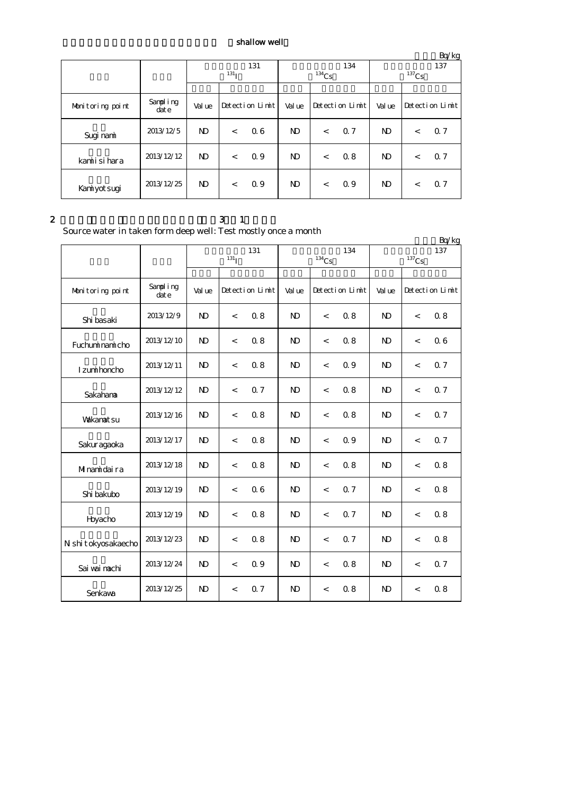# $\boldsymbol{\mathrm{shallow}}$  well

|                  |                  |                   |                 |     |                |                     |     |                     |                 | Bq/kg |  |
|------------------|------------------|-------------------|-----------------|-----|----------------|---------------------|-----|---------------------|-----------------|-------|--|
|                  |                  | 131<br>$^{131}$ I |                 |     |                |                     | 134 | 137                 |                 |       |  |
|                  |                  |                   |                 |     |                | $^{134}\mathrm{Cs}$ |     | $^{137}\mathrm{Cs}$ |                 |       |  |
|                  |                  |                   |                 |     |                |                     |     |                     |                 |       |  |
| Monitoring point | Sampling<br>date | Val ue            | Detection Limit |     | Val ue         | Detection Limit     |     | Val ue              | Detection Limit |       |  |
| Sugi nami        | 2013/12/5        | ND                | $\lt$           | 06  | N <sub>D</sub> | $\lt$               | 0.7 | ND.                 | $\,<\,$         | 0.7   |  |
| kamiisihara      | 2013/12/12       | N <sub>D</sub>    | $\lt$           | 0.9 | N <sub>D</sub> | $\lt$               | 0.8 | ND.                 | $\lt$           | Q 7   |  |
| Kaniyot sugi     | 2013/12/25       | ND.               | $\lt$           | 0.9 | N <sub>D</sub> | $\lt$               | 0.9 | ND.                 | $\lt$           | Q 7   |  |

### $2 \t 3 \t 1$

Source water in taken form deep well: Test mostly once a month

|                     | Boarde water in taken form acep went fest mostry once a month |                |                          |     |              |                          |     |              |                          | Bq/kg |
|---------------------|---------------------------------------------------------------|----------------|--------------------------|-----|--------------|--------------------------|-----|--------------|--------------------------|-------|
|                     |                                                               |                | 131 <sub>I</sub>         | 131 |              | $134$ Cs                 | 134 |              | 137                      |       |
|                     |                                                               |                |                          |     |              |                          |     |              |                          |       |
| Monitoring point    | Sampling<br>dat e                                             | Val ue         | Detection Limit          |     | Val ue       | Detection Limit          |     | Val ue       | Detection Limit          |       |
| Shi basaki          | 2013/12/9                                                     | N <sub>D</sub> | $\overline{\phantom{a}}$ | 0.8 | $\mathbf{D}$ | $\overline{\phantom{a}}$ | 0.8 | $\mathbf{D}$ | $\,<\,$                  | 0.8   |
| Fuchuminamicho      | 2013/12/10                                                    | N <sub>D</sub> | $\,<$                    | 0.8 | $\mathbf{D}$ | $\,<\,$                  | 0.8 | $\mathbf{D}$ | $\,<\,$                  | 06    |
| I zunii honcho      | 2013/12/11                                                    | N <sub>D</sub> | $\lt$                    | 0.8 | $\mathbf{D}$ | $\overline{\phantom{a}}$ | 0.9 | $\mathbf{D}$ | $\overline{\phantom{a}}$ | 0.7   |
| Sakahana            | 2013/12/12                                                    | $\mathbf{N}$   | $\,<$                    | 0.7 | $\mathbf{N}$ | $\,<\,$                  | 0.8 | $\mathbf{D}$ | $\,<\,$                  | 0.7   |
| <b>Vakanatsu</b>    | 2013/12/16                                                    | $\mathbf{D}$   | $\,<$                    | 0.8 | $\mathbf{D}$ | $\,<\,$                  | 0.8 | $\mathbf{D}$ | $\,<\,$                  | 0.7   |
| Sakuragaoka         | 2013/12/17                                                    | N <sub>D</sub> | $\,<$                    | 0.8 | $\mathbf{D}$ | $\overline{\phantom{a}}$ | 0.9 | $\mathbf{D}$ | $\,<\,$                  | 0.7   |
| Minamidaira         | 2013/12/18                                                    | $\mathbf{D}$   | $\,<$                    | 0.8 | $\mathbf{D}$ | $\,<\,$                  | 0.8 | $\mathbf{D}$ | $\,<\,$                  | 0.8   |
| Shi bakubo          | 2013/12/19                                                    | N <sub>D</sub> | $\,<$                    | 06  | $\mathbf{D}$ | $\,<\,$                  | 0.7 | $\mathbf{D}$ | $\,<\,$                  | 0.8   |
| Hyacho              | 2013/12/19                                                    | N <sub>D</sub> | $\,<$                    | 0.8 | $\mathbf{D}$ | $\overline{\phantom{a}}$ | 0.7 | $\mathbf{D}$ | $\overline{\phantom{a}}$ | 0.8   |
| N shi tokyosakaecho | 2013/12/23                                                    | N <sub>D</sub> | $\,<$                    | 0.8 | $\mathbf{N}$ | $\,<\,$                  | 0.7 | $\mathbf{N}$ | $\,<\,$                  | 0.8   |
| Sai wai nachi       | 2013/12/24                                                    | N <sub>D</sub> | $\,<\,$                  | 0.9 | $\mathbf{D}$ | $\,<\,$                  | 0.8 | $\mathbf{N}$ | $\,<\,$                  | 0.7   |
| Senkava             | 2013/12/25                                                    | N <sub>D</sub> | $\lt$                    | 0.7 | $\mathbf{D}$ | $\overline{\phantom{a}}$ | 0.8 | $\mathbf{D}$ | $\overline{\phantom{a}}$ | 0.8   |